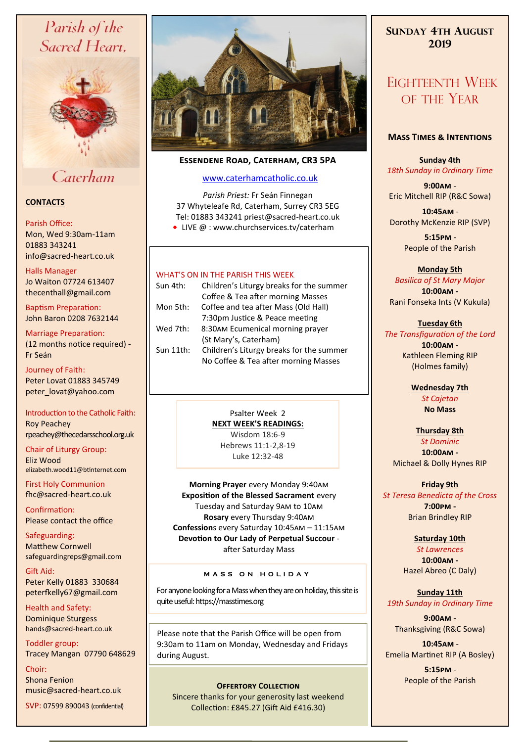# Parish of the Sacred Heart,



# Caterham

# **CONTACTS**

### Parish Office:

Mon, Wed 9:30am-11am 01883 343241 info@sacred-heart.co.uk .

### Halls Manager

Jo Waiton 07724 613407 thecenthall@gmail.com

Baptism Preparation: John Baron 0208 7632144

# Marriage Preparation:

(12 months notice required) **-** Fr Seán

Journey of Faith: Peter Lovat 01883 345749 peter\_lovat@yahoo.com

Introduction to the Catholic Faith: Roy Peachey rpeachey@thecedarsschool.org.uk

Chair of Liturgy Group: Eliz Wood elizabeth.wood11@btinternet.com

First Holy Communion fhc@sacred-heart.co.uk

Confirmation: Please contact the office

Safeguarding: Matthew Cornwell safeguardingreps@gmail.com

Gift Aid: Peter Kelly 01883 330684 peterfkelly67@gmail.com

Health and Safety: Dominique Sturgess hands@sacred-heart.co.uk

Toddler group: Tracey Mangan 07790 648629

Choir: Shona Fenion music@sacred-heart.co.uk SVP: 07599 890043 (confidential)



# **Essendene Road, Caterham, CR3 5PA**

# [www.caterhamcatholic.co.uk](http://Www.caterhamcatholic.co.uk)

*Parish Priest:* Fr Seán Finnegan 37 Whyteleafe Rd, Caterham, Surrey CR3 5EG Tel: 01883 343241 priest@sacred-heart.co.uk

● LIVE @ : www.churchservices.tv/caterham

# WHAT'S ON IN THE PARISH THIS WEEK.

| Sun 4th:  | Children's Liturgy breaks for the summer |
|-----------|------------------------------------------|
|           | Coffee & Tea after morning Masses        |
| Mon 5th:  | Coffee and tea after Mass (Old Hall)     |
|           | 7:30pm Justice & Peace meeting           |
| Wed 7th:  | 8:30AM Ecumenical morning prayer         |
|           | (St Mary's, Caterham)                    |
| Sun 11th: | Children's Liturgy breaks for the summer |
|           | No Coffee & Tea after morning Masses     |

Psalter Week 2 **NEXT WEEK'S READINGS:**  Wisdom 18:6-9 Hebrews 11:1-2,8-19 Luke 12:32-48

**Morning Prayer** every Monday 9:40am **Exposition of the Blessed Sacrament** every Tuesday and Saturday 9am to 10am **Rosary** every Thursday 9:40am **Confession**s every Saturday 10:45am – 11:15am **Devotion to Our Lady of Perpetual Succour**  after Saturday Mass

# **M A S S O N H O L I D A Y**

For anyone looking for a Mass when they are on holiday, this site is quite useful: https://masstimes.org

Please note that the Parish Office will be open from 9:30am to 11am on Monday, Wednesday and Fridays during August.

Sincere thanks for your generosity last weekend Collection: £845.27 (Gift Aid £416.30)

# **SUNDAY 4TH AUGUST 2019**

# EIGHTEENTH WEEK OF THE YEAR

# **Mass Times & Intentions**

**Sunday 4th** *18th Sunday in Ordinary Time*

**9:00am** - Eric Mitchell RIP (R&C Sowa)

.**10:45am** - Dorothy McKenzie RIP (SVP)

> .**5:15pm** - People of the Parish

# **Monday 5th**

*Basilica of St Mary Major* **10:00am -**  Rani Fonseka Ints (V Kukula)

# **Tuesday 6th**

*The Transfiguration of the Lord* **10:00am** - Kathleen Fleming RIP (Holmes family)

> **Wednesday 7th** *St Cajetan* **No Mass**

#### **Thursday 8th** *St Dominic*

**10:00am -**  Michael & Dolly Hynes RIP

# **Friday 9th**

*St Teresa Benedicta of the Cross* **7:00pm -** Brian Brindley RIP

## **Saturday 10th**

*St Lawrences* **10:00am -**  Hazel Abreo (C Daly)

**Sunday 11th** *19th Sunday in Ordinary Time*

**9:00am** - Thanksgiving (R&C Sowa)

.**10:45am** - Emelia Martinet RIP (A Bosley)

.**5:15pm** - **PEOPLE OFFERTORY COLLECTION**